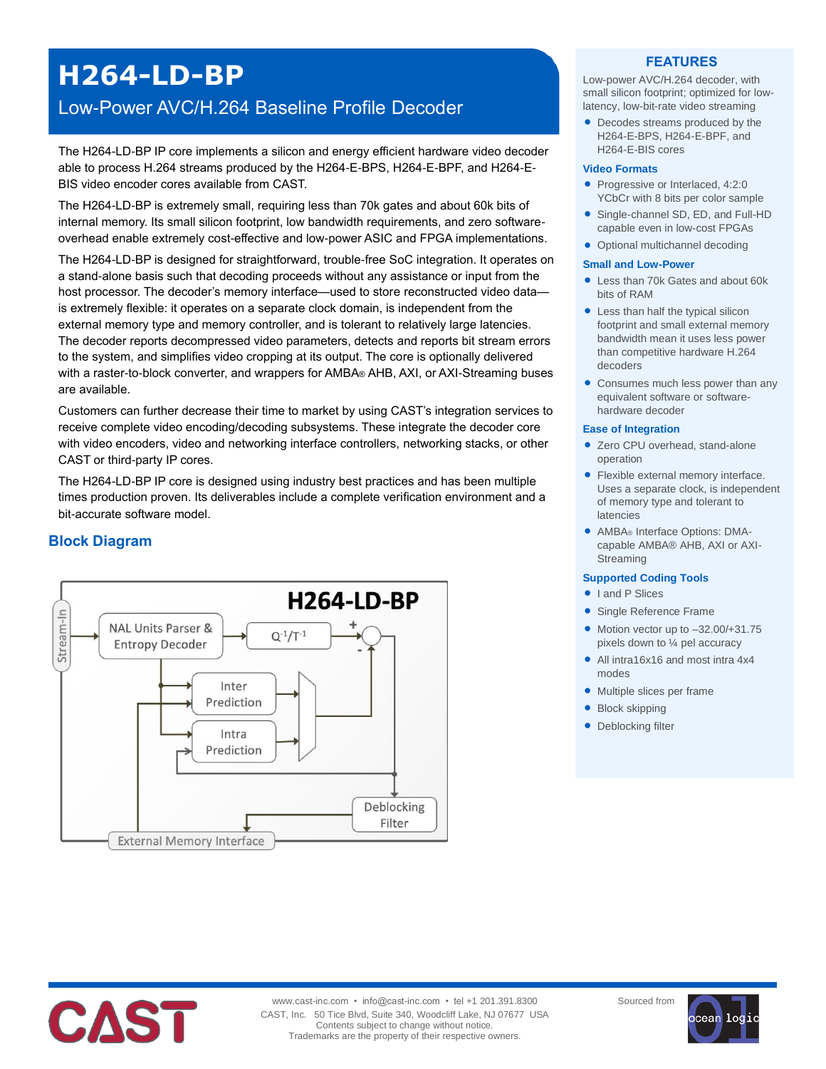# **H264-LD-BP**

## Low-Power AVC/H.264 Baseline Profile Decoder

The H264-LD-BP IP core implements a silicon and energy efficient hardware video decoder able to process H.264 streams produced by the H264-E-BPS, H264-E-BPF, and H264-E-BIS video encoder cores available from CAST.

The H264-LD-BP is extremely small, requiring less than 70k gates and about 60k bits of internal memory. Its small silicon footprint, low bandwidth requirements, and zero softwareoverhead enable extremely cost-effective and low-power ASIC and FPGA implementations.

The H264-LD-BP is designed for straightforward, trouble-free SoC integration. It operates on a stand-alone basis such that decoding proceeds without any assistance or input from the host processor. The decoder's memory interface—used to store reconstructed video data is extremely flexible: it operates on a separate clock domain, is independent from the external memory type and memory controller, and is tolerant to relatively large latencies. The decoder reports decompressed video parameters, detects and reports bit stream errors to the system, and simplifies video cropping at its output. The core is optionally delivered with a raster-to-block converter, and wrappers for AMBA® AHB, AXI, or AXI-Streaming buses are available.

Customers can further decrease their time to market by using CAST's integration services to receive complete video encoding/decoding subsystems. These integrate the decoder core with video encoders, video and networking interface controllers, networking stacks, or other CAST or third-party IP cores.

The H264-LD-BP IP core is designed using industry best practices and has been multiple times production proven. Its deliverables include a complete verification environment and a bit-accurate software model.



## **Block Diagram**

### **FEATURES**

Low-power AVC/H.264 decoder, with small silicon footprint; optimized for lowlatency, low-bit-rate video streaming

 Decodes streams produced by the H264-E-BPS, H264-E-BPF, and H264-E-BIS cores

#### **Video Formats**

- Progressive or Interlaced, 4:2:0 YCbCr with 8 bits per color sample
- Single-channel SD, ED, and Full-HD capable even in low-cost FPGAs
- Optional multichannel decoding

#### **Small and Low-Power**

- Less than 70k Gates and about 60k bits of RAM
- Less than half the typical silicon footprint and small external memory bandwidth mean it uses less power than competitive hardware H.264 decoders
- Consumes much less power than any equivalent software or softwarehardware decoder

#### **Ease of Integration**

- Zero CPU overhead, stand-alone operation
- Flexible external memory interface. Uses a separate clock, is independent of memory type and tolerant to latencies
- AMBA® Interface Options: DMAcapable AMBA® AHB, AXI or AXI-Streaming

#### **Supported Coding Tools**

- I and P Slices
- Single Reference Frame
- $\bullet$  Motion vector up to  $-32.00/+31.75$ pixels down to ¼ pel accuracy
- All intra16x16 and most intra 4x4 modes
- Multiple slices per frame
- Block skipping
- Deblocking filter



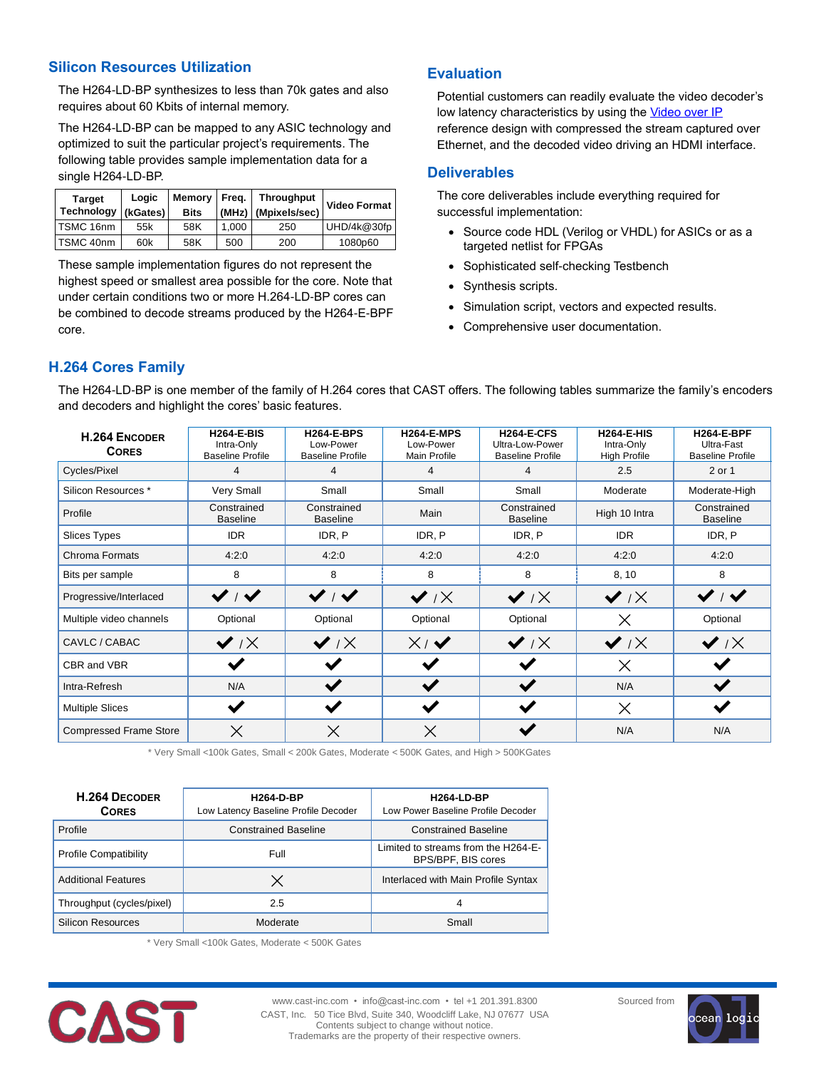## **Silicon Resources Utilization**

The H264-LD-BP synthesizes to less than 70k gates and also requires about 60 Kbits of internal memory.

The H264-LD-BP can be mapped to any ASIC technology and optimized to suit the particular project's requirements. The following table provides sample implementation data for a single H264-LD-BP.

| <b>Target</b><br>Technology | Logic<br>(kGates) | Memory Freq.<br><b>Bits</b> |       | <b>Throughput</b><br>(MHz) (Mpixels/sec) | <b>Video Format</b> |
|-----------------------------|-------------------|-----------------------------|-------|------------------------------------------|---------------------|
| TSMC 16nm                   | 55k               | 58K                         | 1.000 | 250                                      | UHD/4k@30fp         |
| TSMC 40nm                   | 60k               | 58K                         | 500   | 200                                      | 1080p60             |

These sample implementation figures do not represent the highest speed or smallest area possible for the core. Note that under certain conditions two or more H.264-LD-BP cores can be combined to decode streams produced by the H264-E-BPF core.

## **Evaluation**

Potential customers can readily evaluate the video decoder's low latency characteristics by using the [Video over IP](mailto:http://www.cast-inc.com/ip-cores/video/h264oip-hde/index.html) reference design with compressed the stream captured over Ethernet, and the decoded video driving an HDMI interface.

## **Deliverables**

The core deliverables include everything required for successful implementation:

- Source code HDL (Verilog or VHDL) for ASICs or as a targeted netlist for FPGAs
- Sophisticated self-checking Testbench
- Synthesis scripts.
- Simulation script, vectors and expected results.
- Comprehensive user documentation.

## **H.264 Cores Family**

The H264-LD-BP is one member of the family of H.264 cores that CAST offers. The following tables summarize the family's encoders and decoders and highlight the cores' basic features.

| <b>H.264 ENCODER</b><br><b>CORES</b> | <b>H264-E-BIS</b><br>Intra-Only<br><b>Baseline Profile</b> | <b>H264-E-BPS</b><br>Low-Power<br><b>Baseline Profile</b> | <b>H264-E-MPS</b><br>Low-Power<br><b>Main Profile</b> | <b>H264-E-CFS</b><br>Ultra-Low-Power<br><b>Baseline Profile</b> | <b>H264-E-HIS</b><br>Intra-Only<br><b>High Profile</b> | <b>H264-E-BPF</b><br>Ultra-Fast<br><b>Baseline Profile</b> |
|--------------------------------------|------------------------------------------------------------|-----------------------------------------------------------|-------------------------------------------------------|-----------------------------------------------------------------|--------------------------------------------------------|------------------------------------------------------------|
| Cycles/Pixel                         | 4                                                          | 4                                                         | 4                                                     | 4                                                               | 2.5                                                    | 2 or 1                                                     |
| Silicon Resources *                  | Very Small                                                 | Small                                                     | Small                                                 | Small                                                           | Moderate                                               | Moderate-High                                              |
| Profile                              | Constrained<br><b>Baseline</b>                             | Constrained<br><b>Baseline</b>                            | Main                                                  | Constrained<br><b>Baseline</b>                                  | High 10 Intra                                          | Constrained<br><b>Baseline</b>                             |
| <b>Slices Types</b>                  | <b>IDR</b>                                                 | IDR, P                                                    | IDR, P                                                | IDR, P                                                          | <b>IDR</b>                                             | IDR, P                                                     |
| Chroma Formats                       | 4:2:0                                                      | 4:2:0                                                     | 4:2:0                                                 | 4:2:0                                                           | 4:2:0                                                  | 4:2:0                                                      |
| Bits per sample                      | 8                                                          | 8                                                         | 8                                                     | 8                                                               | 8, 10                                                  | 8                                                          |
| Progressive/Interlaced               | $\checkmark$                                               | $\checkmark$ / $\checkmark$                               | $\vee$ / $\times$                                     | $\vee$ / $\times$                                               | $\vee$ / $\times$                                      | $\checkmark$ / $\checkmark$                                |
| Multiple video channels              | Optional                                                   | Optional                                                  | Optional                                              | Optional                                                        | $\times$                                               | Optional                                                   |
| CAVLC / CABAC                        | $\vee$ / $\times$                                          | $\vee$ / $\times$                                         | $X\vee Y$                                             | $\vee$ $\vee$                                                   | $\vee$ / $\times$                                      | $\vee$ iX                                                  |
| CBR and VBR                          | $\checkmark$                                               | $\checkmark$                                              |                                                       | $\checkmark$                                                    | $\times$                                               |                                                            |
| Intra-Refresh                        | N/A                                                        | $\checkmark$                                              |                                                       |                                                                 | N/A                                                    |                                                            |
| <b>Multiple Slices</b>               | $\checkmark$                                               | $\blacktriangledown$                                      | $\blacktriangleright$                                 |                                                                 | $\times$                                               | $\checkmark$                                               |
| <b>Compressed Frame Store</b>        | $\times$                                                   | $\times$                                                  | $\times$                                              |                                                                 | N/A                                                    | N/A                                                        |

\* Very Small <100k Gates, Small < 200k Gates, Moderate < 500K Gates, and High > 500KGates

| <b>H.264 DECODER</b><br><b>CORES</b> | <b>H264-D-BP</b><br>Low Latency Baseline Profile Decoder | <b>H264-LD-BP</b><br>Low Power Baseline Profile Decoder   |  |  |
|--------------------------------------|----------------------------------------------------------|-----------------------------------------------------------|--|--|
| Profile                              | <b>Constrained Baseline</b>                              | <b>Constrained Baseline</b>                               |  |  |
| <b>Profile Compatibility</b>         | Full                                                     | Limited to streams from the H264-E-<br>BPS/BPF, BIS cores |  |  |
| <b>Additional Features</b>           | $\times$                                                 | Interlaced with Main Profile Syntax                       |  |  |
| Throughput (cycles/pixel)            | 2.5                                                      | 4                                                         |  |  |
| Silicon Resources                    | Moderate                                                 | Small                                                     |  |  |

\* Very Small <100k Gates, Moderate < 500K Gates



www.cast-inc.com • info@cast-inc.com • tel +1 201.391.8300 CAST, Inc. 50 Tice Blvd, Suite 340, Woodcliff Lake, NJ 07677 USA Contents subject to change without notice. Trademarks are the property of their respective owners.